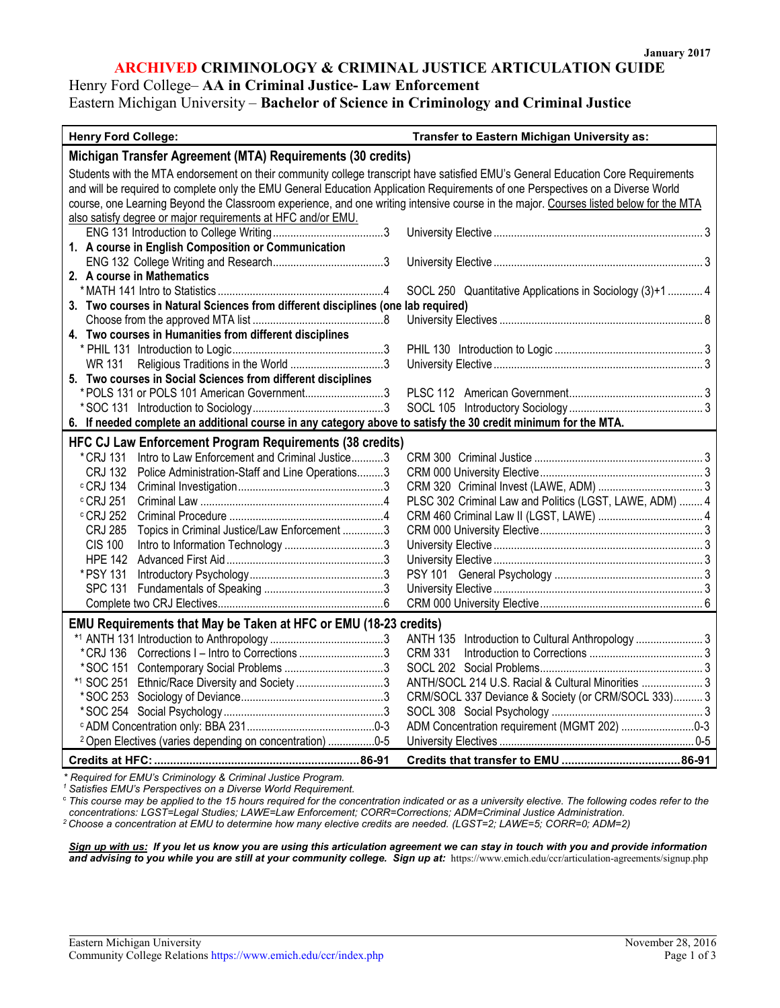#### **ARCHIVED CRIMINOLOGY & CRIMINAL JUSTICE ARTICULATION GUIDE**

## Henry Ford College– **AA in Criminal Justice- Law Enforcement**

### Eastern Michigan University – **Bachelor of Science in Criminology and Criminal Justice**

| <b>Henry Ford College:</b>                                                                                                            | Transfer to Eastern Michigan University as:              |  |
|---------------------------------------------------------------------------------------------------------------------------------------|----------------------------------------------------------|--|
| Michigan Transfer Agreement (MTA) Requirements (30 credits)                                                                           |                                                          |  |
| Students with the MTA endorsement on their community college transcript have satisfied EMU's General Education Core Requirements      |                                                          |  |
| and will be required to complete only the EMU General Education Application Requirements of one Perspectives on a Diverse World       |                                                          |  |
| course, one Learning Beyond the Classroom experience, and one writing intensive course in the major. Courses listed below for the MTA |                                                          |  |
| also satisfy degree or major requirements at HFC and/or EMU.                                                                          |                                                          |  |
|                                                                                                                                       |                                                          |  |
| 1. A course in English Composition or Communication                                                                                   |                                                          |  |
|                                                                                                                                       |                                                          |  |
| 2. A course in Mathematics                                                                                                            |                                                          |  |
|                                                                                                                                       | SOCL 250 Quantitative Applications in Sociology (3)+1  4 |  |
| 3. Two courses in Natural Sciences from different disciplines (one lab required)                                                      |                                                          |  |
|                                                                                                                                       |                                                          |  |
| 4. Two courses in Humanities from different disciplines                                                                               |                                                          |  |
|                                                                                                                                       |                                                          |  |
| WR 131                                                                                                                                |                                                          |  |
| 5. Two courses in Social Sciences from different disciplines                                                                          |                                                          |  |
| *POLS 131 or POLS 101 American Government3                                                                                            |                                                          |  |
|                                                                                                                                       |                                                          |  |
| 6. If needed complete an additional course in any category above to satisfy the 30 credit minimum for the MTA.                        |                                                          |  |
| <b>HFC CJ Law Enforcement Program Requirements (38 credits)</b>                                                                       |                                                          |  |
| Intro to Law Enforcement and Criminal Justice3<br>* CRJ 131                                                                           |                                                          |  |
| Police Administration-Staff and Line Operations3<br>CRJ 132                                                                           |                                                          |  |
| c CRJ 134                                                                                                                             |                                                          |  |
| $\circ$ CRJ 251 $\,$                                                                                                                  | PLSC 302 Criminal Law and Politics (LGST, LAWE, ADM)  4  |  |
| $\circ$ CRJ 252                                                                                                                       |                                                          |  |
| Topics in Criminal Justice/Law Enforcement 3<br>CRJ 285                                                                               |                                                          |  |
| <b>CIS 100</b>                                                                                                                        |                                                          |  |
|                                                                                                                                       |                                                          |  |
| * PSY 131                                                                                                                             |                                                          |  |
| <b>SPC 131</b>                                                                                                                        |                                                          |  |
|                                                                                                                                       |                                                          |  |
| EMU Requirements that May be Taken at HFC or EMU (18-23 credits)                                                                      |                                                          |  |
|                                                                                                                                       | ANTH 135 Introduction to Cultural Anthropology  3        |  |
| *CRJ 136 Corrections I - Intro to Corrections 3                                                                                       | <b>CRM 331</b>                                           |  |
|                                                                                                                                       |                                                          |  |
| *1 SOC 251 Ethnic/Race Diversity and Society 3                                                                                        | ANTH/SOCL 214 U.S. Racial & Cultural Minorities  3       |  |
|                                                                                                                                       | CRM/SOCL 337 Deviance & Society (or CRM/SOCL 333) 3      |  |
|                                                                                                                                       |                                                          |  |
|                                                                                                                                       |                                                          |  |
| <sup>2</sup> Open Electives (varies depending on concentration) 0-5                                                                   |                                                          |  |
|                                                                                                                                       |                                                          |  |

*\* Required for EMU's Criminology & Criminal Justice Program.*

*1 Satisfies EMU's Perspectives on a Diverse World Requirement.*

<sup>c</sup> *This course may be applied to the 15 hours required for the concentration indicated or as a university elective. The following codes refer to the concentrations: LGST=Legal Studies; LAWE=Law Enforcement; CORR=Corrections; ADM=Criminal Justice Administration. 2 Choose a concentration at EMU to determine how many elective credits are needed. (LGST=2; LAWE=5; CORR=0; ADM=2)*

*Sign up with us: If you let us know you are using this articulation agreement we can stay in touch with you and provide information*  and advising to you while you are still at your community college. Sign up at: https://www.emich.edu/ccr/articulation-agreements/signup.php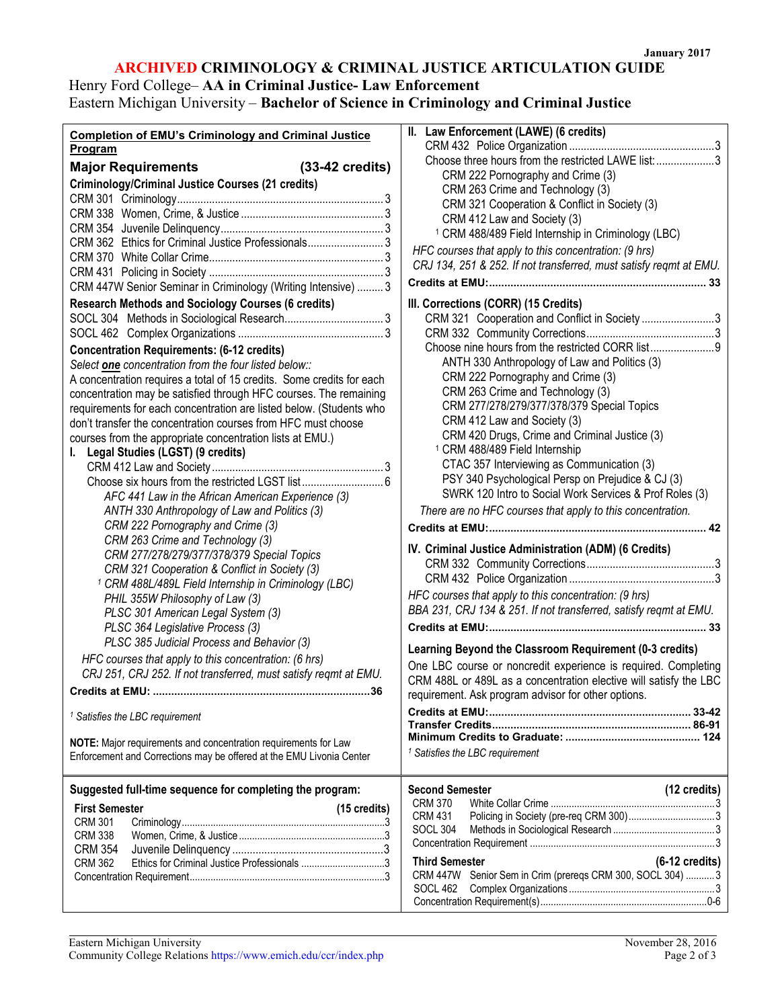#### **ARCHIVED CRIMINOLOGY & CRIMINAL JUSTICE ARTICULATION GUIDE**

# Henry Ford College– **AA in Criminal Justice- Law Enforcement**

r

# Eastern Michigan University – **Bachelor of Science in Criminology and Criminal Justice**

| <b>Completion of EMU's Criminology and Criminal Justice</b>                    | $\,$ II. Law Enforcement (LAWE) (6 credits)                        |
|--------------------------------------------------------------------------------|--------------------------------------------------------------------|
| Program                                                                        |                                                                    |
| <b>Major Requirements</b><br>$(33-42 \text{ credits})$                         | Choose three hours from the restricted LAWE list: 3                |
| <b>Criminology/Criminal Justice Courses (21 credits)</b>                       | CRM 222 Pornography and Crime (3)                                  |
|                                                                                | CRM 263 Crime and Technology (3)                                   |
|                                                                                | CRM 321 Cooperation & Conflict in Society (3)                      |
|                                                                                | CRM 412 Law and Society (3)                                        |
| CRM 362 Ethics for Criminal Justice Professionals 3                            | <sup>1</sup> CRM 488/489 Field Internship in Criminology (LBC)     |
|                                                                                | HFC courses that apply to this concentration: (9 hrs)              |
|                                                                                | CRJ 134, 251 & 252. If not transferred, must satisfy regmt at EMU. |
| CRM 447W Senior Seminar in Criminology (Writing Intensive)  3                  |                                                                    |
|                                                                                |                                                                    |
| <b>Research Methods and Sociology Courses (6 credits)</b>                      | III. Corrections (CORR) (15 Credits)                               |
|                                                                                | CRM 321 Cooperation and Conflict in Society 3                      |
|                                                                                |                                                                    |
| <b>Concentration Requirements: (6-12 credits)</b>                              |                                                                    |
| Select one concentration from the four listed below::                          | ANTH 330 Anthropology of Law and Politics (3)                      |
| A concentration requires a total of 15 credits. Some credits for each          | CRM 222 Pornography and Crime (3)                                  |
| concentration may be satisfied through HFC courses. The remaining              | CRM 263 Crime and Technology (3)                                   |
| requirements for each concentration are listed below. (Students who            | CRM 277/278/279/377/378/379 Special Topics                         |
| don't transfer the concentration courses from HFC must choose                  | CRM 412 Law and Society (3)                                        |
| courses from the appropriate concentration lists at EMU.)                      | CRM 420 Drugs, Crime and Criminal Justice (3)                      |
| I. Legal Studies (LGST) (9 credits)                                            | <sup>1</sup> CRM 488/489 Field Internship                          |
|                                                                                | CTAC 357 Interviewing as Communication (3)                         |
|                                                                                | PSY 340 Psychological Persp on Prejudice & CJ (3)                  |
| AFC 441 Law in the African American Experience (3)                             | SWRK 120 Intro to Social Work Services & Prof Roles (3)            |
| ANTH 330 Anthropology of Law and Politics (3)                                  | There are no HFC courses that apply to this concentration.         |
| CRM 222 Pornography and Crime (3)                                              |                                                                    |
|                                                                                |                                                                    |
| CRM 263 Crime and Technology (3)                                               | IV. Criminal Justice Administration (ADM) (6 Credits)              |
| CRM 277/278/279/377/378/379 Special Topics                                     |                                                                    |
| CRM 321 Cooperation & Conflict in Society (3)                                  |                                                                    |
| <sup>1</sup> CRM 488L/489L Field Internship in Criminology (LBC)               | HFC courses that apply to this concentration: (9 hrs)              |
| PHIL 355W Philosophy of Law (3)                                                | BBA 231, CRJ 134 & 251. If not transferred, satisfy reqmt at EMU.  |
| PLSC 301 American Legal System (3)                                             |                                                                    |
| PLSC 364 Legislative Process (3)<br>PLSC 385 Judicial Process and Behavior (3) |                                                                    |
| HFC courses that apply to this concentration: (6 hrs)                          | Learning Beyond the Classroom Requirement (0-3 credits)            |
| CRJ 251, CRJ 252. If not transferred, must satisfy reqmt at EMU.               | One LBC course or noncredit experience is required. Completing     |
|                                                                                | CRM 488L or 489L as a concentration elective will satisfy the LBC  |
|                                                                                | requirement. Ask program advisor for other options.                |
| <sup>1</sup> Satisfies the LBC requirement                                     |                                                                    |
|                                                                                |                                                                    |
| NOTE: Major requirements and concentration requirements for Law                |                                                                    |
| Enforcement and Corrections may be offered at the EMU Livonia Center           | <sup>1</sup> Satisfies the LBC requirement                         |
|                                                                                |                                                                    |
| Suggested full-time sequence for completing the program:                       | <b>Second Semester</b><br>(12 credits)                             |
| <b>First Semester</b><br>(15 credits)                                          | <b>CRM 370</b>                                                     |
| <b>CRM 301</b>                                                                 | <b>CRM 431</b>                                                     |
| <b>CRM 338</b>                                                                 | <b>SOCL 304</b>                                                    |
| <b>CRM 354</b>                                                                 |                                                                    |
| <b>CRM 362</b>                                                                 | <b>Third Semester</b><br>$(6-12 \text{ credits})$                  |
|                                                                                | CRM 447W Senior Sem in Crim (prereqs CRM 300, SOCL 304)  3         |
|                                                                                | SOCL 462                                                           |
|                                                                                |                                                                    |
|                                                                                |                                                                    |

| II. Law Enforcement (LAWE) (6 credits)                             |                          |
|--------------------------------------------------------------------|--------------------------|
|                                                                    |                          |
| Choose three hours from the restricted LAWE list: 3                |                          |
| CRM 222 Pornography and Crime (3)                                  |                          |
| CRM 263 Crime and Technology (3)                                   |                          |
| CRM 321 Cooperation & Conflict in Society (3)                      |                          |
| CRM 412 Law and Society (3)                                        |                          |
| <sup>1</sup> CRM 488/489 Field Internship in Criminology (LBC)     |                          |
| HFC courses that apply to this concentration: (9 hrs)              |                          |
| CRJ 134, 251 & 252. If not transferred, must satisfy regmt at EMU. |                          |
|                                                                    |                          |
|                                                                    |                          |
| III. Corrections (CORR) (15 Credits)                               |                          |
| CRM 321 Cooperation and Conflict in Society 3                      |                          |
|                                                                    |                          |
|                                                                    |                          |
| ANTH 330 Anthropology of Law and Politics (3)                      |                          |
| CRM 222 Pornography and Crime (3)                                  |                          |
|                                                                    |                          |
| CRM 263 Crime and Technology (3)                                   |                          |
| CRM 277/278/279/377/378/379 Special Topics                         |                          |
| CRM 412 Law and Society (3)                                        |                          |
| CRM 420 Drugs, Crime and Criminal Justice (3)                      |                          |
| <sup>1</sup> CRM 488/489 Field Internship                          |                          |
| CTAC 357 Interviewing as Communication (3)                         |                          |
| PSY 340 Psychological Persp on Prejudice & CJ (3)                  |                          |
| SWRK 120 Intro to Social Work Services & Prof Roles (3)            |                          |
| There are no HFC courses that apply to this concentration.         |                          |
| <b>Credits at EMU:</b>                                             |                          |
|                                                                    |                          |
| IV. Criminal Justice Administration (ADM) (6 Credits)              |                          |
|                                                                    |                          |
|                                                                    |                          |
| HFC courses that apply to this concentration: (9 hrs)              |                          |
| BBA 231, CRJ 134 & 251. If not transferred, satisfy reqmt at EMU.  |                          |
|                                                                    |                          |
|                                                                    |                          |
| Learning Beyond the Classroom Requirement (0-3 credits)            |                          |
| One LBC course or noncredit experience is required. Completing     |                          |
| CRM 488L or 489L as a concentration elective will satisfy the LBC  |                          |
| requirement. Ask program advisor for other options.                |                          |
|                                                                    |                          |
|                                                                    |                          |
|                                                                    |                          |
| <sup>1</sup> Satisfies the LBC requirement                         |                          |
|                                                                    |                          |
|                                                                    |                          |
| <b>Second Semester</b>                                             | (12 credits)             |
| <b>CRM 370</b>                                                     |                          |
| CRM 431                                                            |                          |
| <b>SOCL 304</b>                                                    |                          |
|                                                                    |                          |
| <b>Third Semester</b>                                              | $(6-12 \text{ credits})$ |